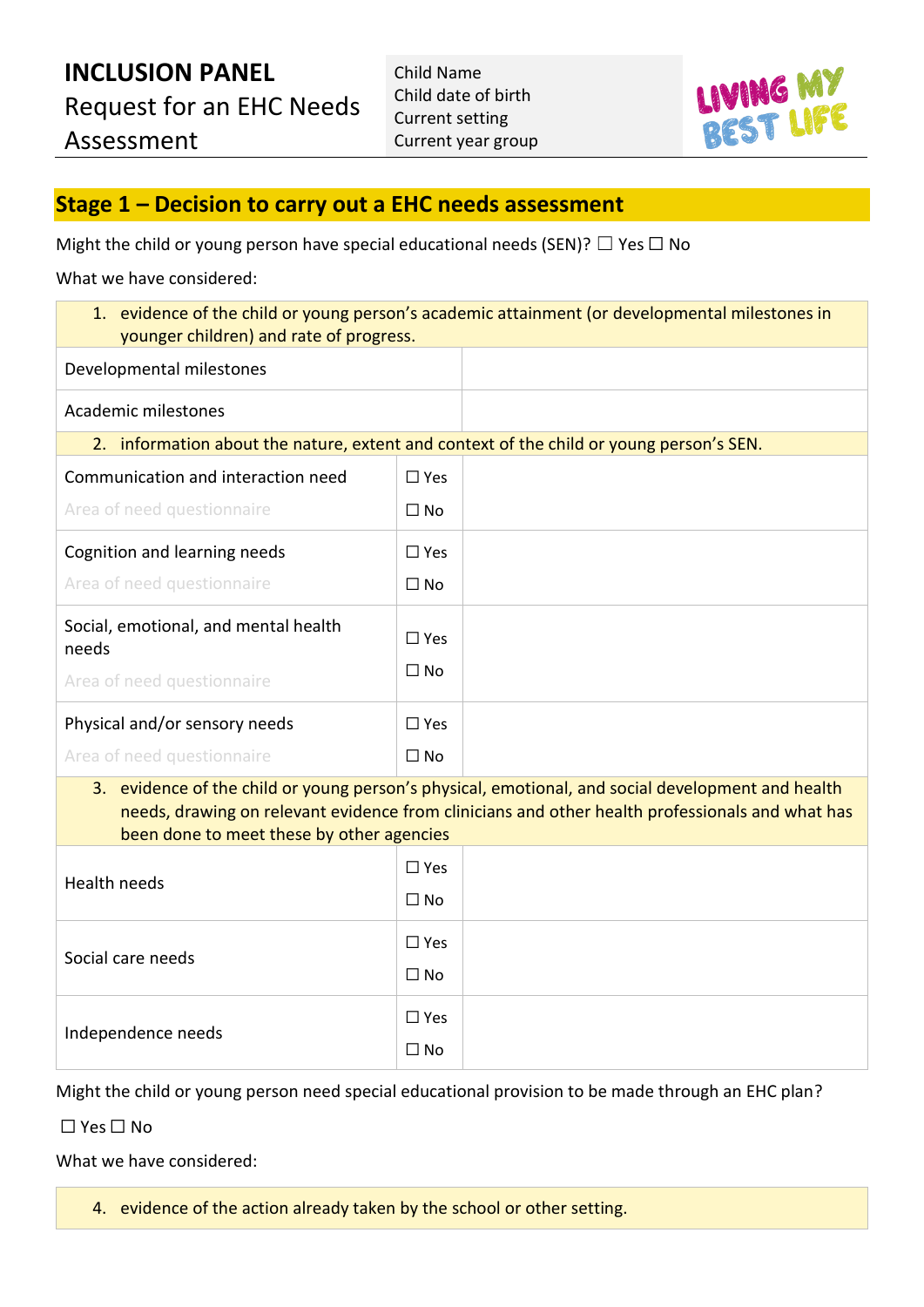

#### **Stage 1 – Decision to carry out a EHC needs assessment**

Might the child or young person have special educational needs (SEN)?  $\Box$  Yes  $\Box$  No

What we have considered:

| 1. evidence of the child or young person's academic attainment (or developmental milestones in<br>younger children) and rate of progress.                                                                                                         |               |  |  |
|---------------------------------------------------------------------------------------------------------------------------------------------------------------------------------------------------------------------------------------------------|---------------|--|--|
| Developmental milestones                                                                                                                                                                                                                          |               |  |  |
| Academic milestones                                                                                                                                                                                                                               |               |  |  |
| 2. information about the nature, extent and context of the child or young person's SEN.                                                                                                                                                           |               |  |  |
| Communication and interaction need                                                                                                                                                                                                                | $\square$ Yes |  |  |
| Area of need questionnaire                                                                                                                                                                                                                        | $\Box$ No     |  |  |
| Cognition and learning needs                                                                                                                                                                                                                      | $\square$ Yes |  |  |
| Area of need questionnaire                                                                                                                                                                                                                        | $\Box$ No     |  |  |
| Social, emotional, and mental health<br>needs                                                                                                                                                                                                     | $\Box$ Yes    |  |  |
| Area of need questionnaire                                                                                                                                                                                                                        | $\square$ No  |  |  |
| Physical and/or sensory needs                                                                                                                                                                                                                     | $\square$ Yes |  |  |
| Area of need questionnaire                                                                                                                                                                                                                        | $\Box$ No     |  |  |
| 3. evidence of the child or young person's physical, emotional, and social development and health<br>needs, drawing on relevant evidence from clinicians and other health professionals and what has<br>been done to meet these by other agencies |               |  |  |
| <b>Health needs</b>                                                                                                                                                                                                                               | $\square$ Yes |  |  |
|                                                                                                                                                                                                                                                   | $\Box$ No     |  |  |
| Social care needs                                                                                                                                                                                                                                 | $\Box$ Yes    |  |  |
|                                                                                                                                                                                                                                                   | $\Box$ No     |  |  |
| Independence needs                                                                                                                                                                                                                                | $\square$ Yes |  |  |
|                                                                                                                                                                                                                                                   | $\Box$ No     |  |  |

Might the child or young person need special educational provision to be made through an EHC plan?

☐ Yes ☐ No

What we have considered:

4. evidence of the action already taken by the school or other setting.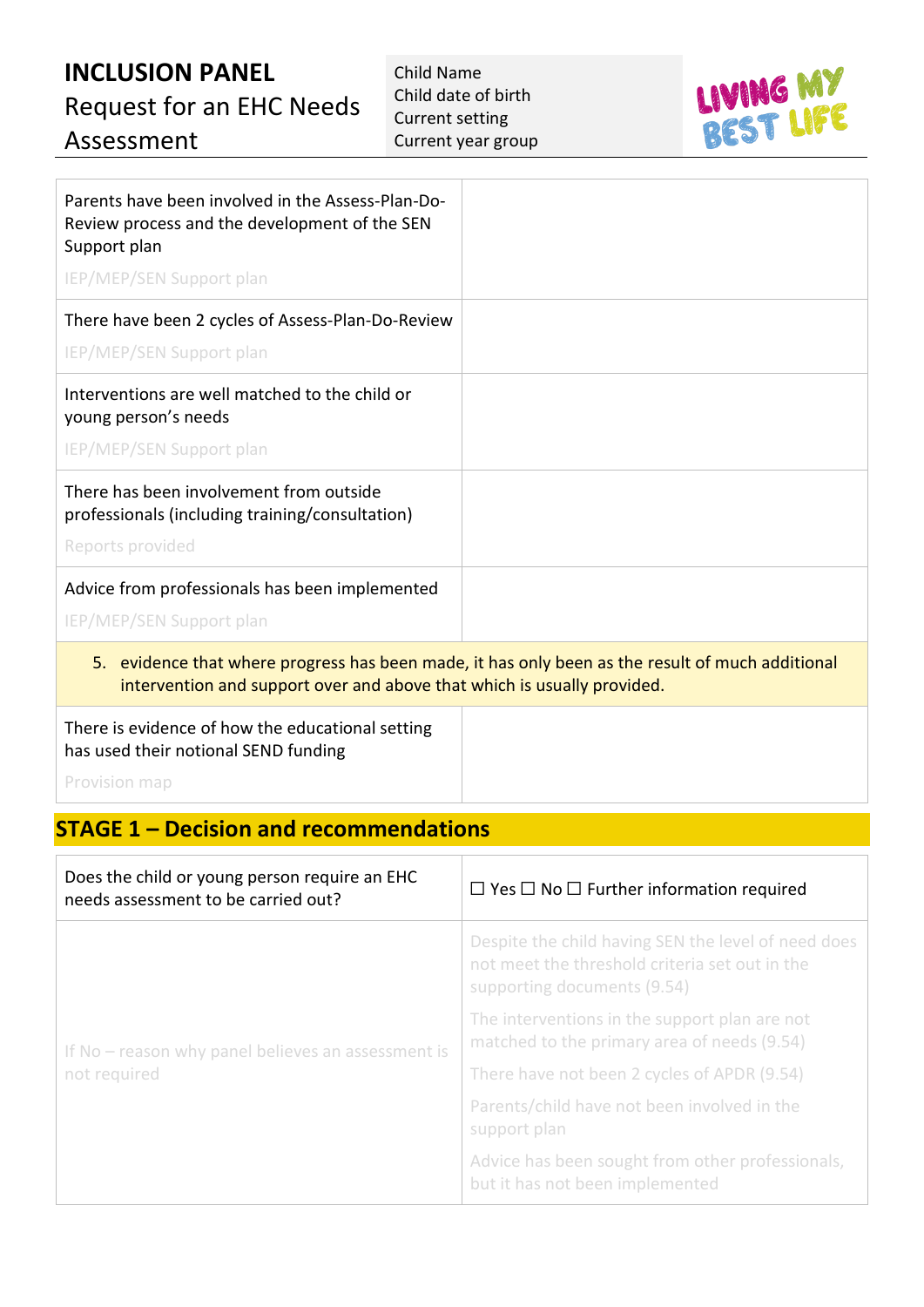# **INCLUSION PANEL** Request for an EHC Needs Assessment

Child Name Child date of birth Current setting Current year group



| Parents have been involved in the Assess-Plan-Do-<br>Review process and the development of the SEN<br>Support plan<br><b>IEP/MEP/SEN Support plan</b>                          |  |
|--------------------------------------------------------------------------------------------------------------------------------------------------------------------------------|--|
| There have been 2 cycles of Assess-Plan-Do-Review<br><b>IEP/MEP/SEN Support plan</b>                                                                                           |  |
| Interventions are well matched to the child or<br>young person's needs<br><b>IEP/MEP/SEN Support plan</b>                                                                      |  |
| There has been involvement from outside<br>professionals (including training/consultation)<br>Reports provided                                                                 |  |
| Advice from professionals has been implemented<br><b>IEP/MEP/SEN Support plan</b>                                                                                              |  |
| evidence that where progress has been made, it has only been as the result of much additional<br>5.<br>intervention and support over and above that which is usually provided. |  |
| There is evidence of how the educational setting                                                                                                                               |  |

has used their notional SEND funding

Provision map

#### **STAGE 1 – Decision and recommendations**

| Does the child or young person require an EHC<br>needs assessment to be carried out? | $\Box$ Yes $\Box$ No $\Box$ Further information required                                                                             |
|--------------------------------------------------------------------------------------|--------------------------------------------------------------------------------------------------------------------------------------|
| If No – reason why panel believes an assessment is<br>not required                   | Despite the child having SEN the level of need does<br>not meet the threshold criteria set out in the<br>supporting documents (9.54) |
|                                                                                      | The interventions in the support plan are not<br>matched to the primary area of needs (9.54)                                         |
|                                                                                      | There have not been 2 cycles of APDR (9.54)                                                                                          |
|                                                                                      | Parents/child have not been involved in the<br>support plan                                                                          |
|                                                                                      | Advice has been sought from other professionals,<br>but it has not been implemented                                                  |